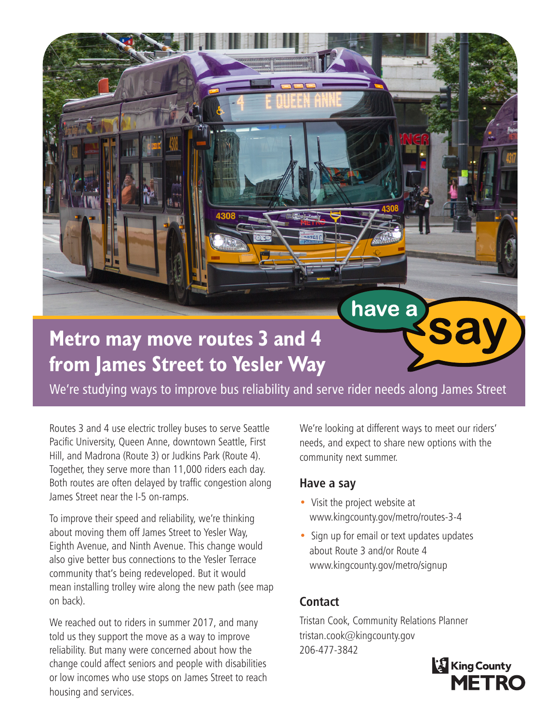**Metro may move routes 3 and 4 from James Street to Yesler Way**

We're studying ways to improve bus reliability and serve rider needs along James Street

Routes 3 and 4 use electric trolley buses to serve Seattle Pacific University, Queen Anne, downtown Seattle, First Hill, and Madrona (Route 3) or Judkins Park (Route 4). Together, they serve more than 11,000 riders each day. Both routes are often delayed by traffic congestion along James Street near the I-5 on-ramps.

To improve their speed and reliability, we're thinking about moving them off James Street to Yesler Way, Eighth Avenue, and Ninth Avenue. This change would also give better bus connections to the Yesler Terrace community that's being redeveloped. But it would mean installing trolley wire along the new path (see map on back).

We reached out to riders in summer 2017, and many told us they support the move as a way to improve reliability. But many were concerned about how the change could affect seniors and people with disabilities or low incomes who use stops on James Street to reach housing and services.

We're looking at different ways to meet our riders' needs, and expect to share new options with the community next summer.

have a

Sa

## **Have a say**

- Visit the project website at www.kingcounty.gov/metro/routes-3-4
- Sign up for email or text updates updates about Route 3 and/or Route 4 www.kingcounty.gov/metro/signup

## **Contact**

Tristan Cook, Community Relations Planner tristan.cook@kingcounty.gov 206-477-3842